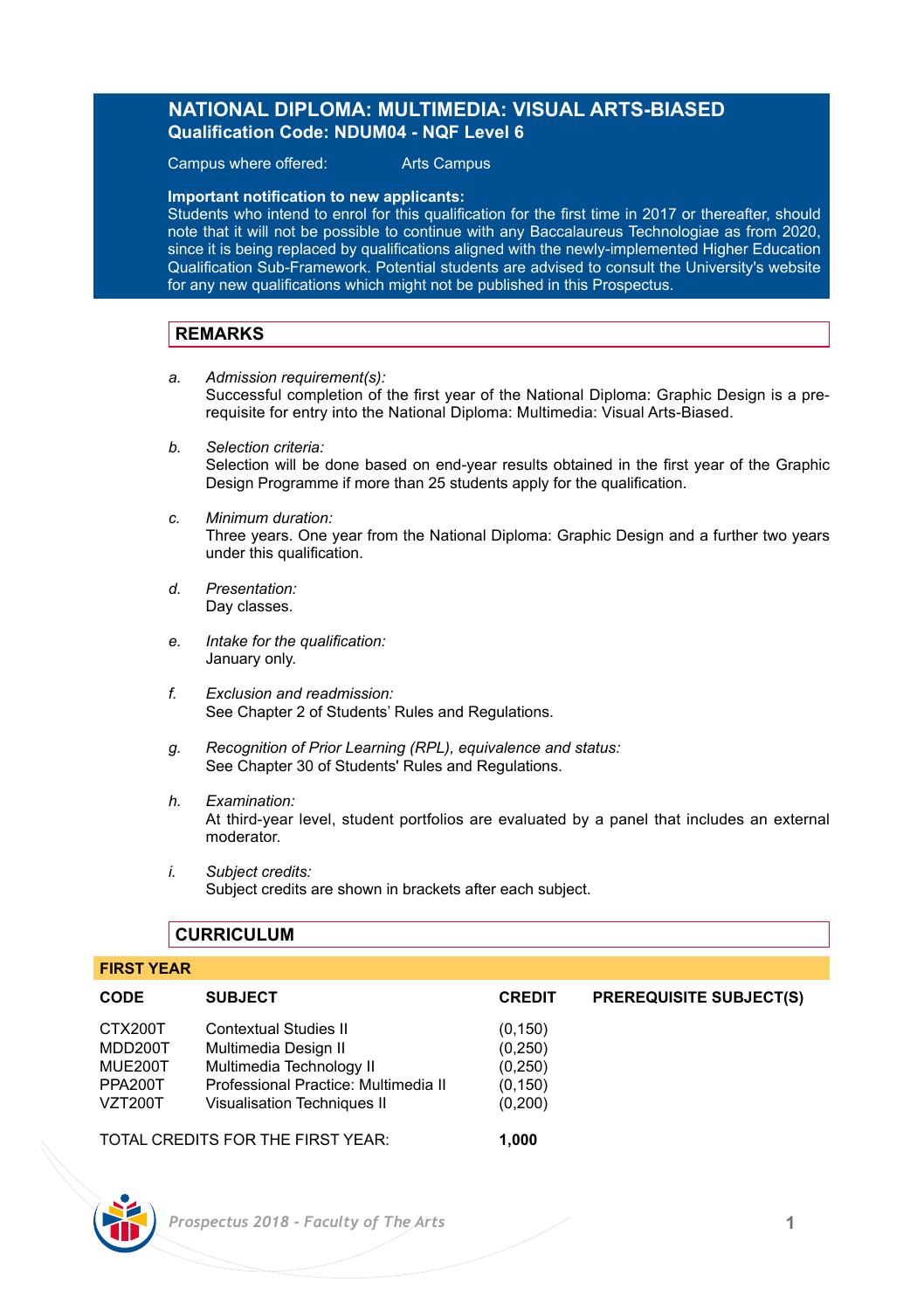# **NATIONAL DIPLOMA: MULTIMEDIA: VISUAL ARTS-BIASED Qualification Code: NDUM04 - NQF Level 6**

Campus where offered: Arts Campus

**Important notification to new applicants:** 

Students who intend to enrol for this qualification for the first time in 2017 or thereafter, should note that it will not be possible to continue with any Baccalaureus Technologiae as from 2020, since it is being replaced by qualifications aligned with the newly-implemented Higher Education Qualification Sub-Framework. Potential students are advised to consult the University's website for any new qualifications which might not be published in this Prospectus.

# **REMARKS**

- *a. Admission requirement(s):* Successful completion of the first year of the National Diploma: Graphic Design is a prerequisite for entry into the National Diploma: Multimedia: Visual Arts-Biased.
- *b. Selection criteria:* Selection will be done based on end-year results obtained in the first year of the Graphic Design Programme if more than 25 students apply for the qualification.
- *c. Minimum duration:* Three years. One year from the National Diploma: Graphic Design and a further two years under this qualification.
- *d. Presentation:* Day classes.
- *e. Intake for the qualification:* January only.
- *f. Exclusion and readmission:* See Chapter 2 of Students' Rules and Regulations.
- *g. Recognition of Prior Learning (RPL), equivalence and status:* See Chapter 30 of Students' Rules and Regulations.
- *h. Examination:* At third-year level, student portfolios are evaluated by a panel that includes an external moderator.
- *i. Subject credits:* Subject credits are shown in brackets after each subject.

# **CURRICULUM**

# **FIRST YEAR**

| <b>CODE</b>                                                | <b>SUBJECT</b>                                                                                                                                          | <b>CREDIT</b>                                          | <b>PREREQUISITE SUBJECT(S)</b> |
|------------------------------------------------------------|---------------------------------------------------------------------------------------------------------------------------------------------------------|--------------------------------------------------------|--------------------------------|
| CTX200T<br>MDD200T<br>MUE200T<br>PPA200T<br><b>VZT200T</b> | <b>Contextual Studies II</b><br>Multimedia Design II<br>Multimedia Technology II<br>Professional Practice: Multimedia II<br>Visualisation Techniques II | (0, 150)<br>(0, 250)<br>(0,250)<br>(0, 150)<br>(0,200) |                                |
|                                                            | TOTAL CREDITS FOR THE FIRST YEAR.                                                                                                                       | 1.000                                                  |                                |

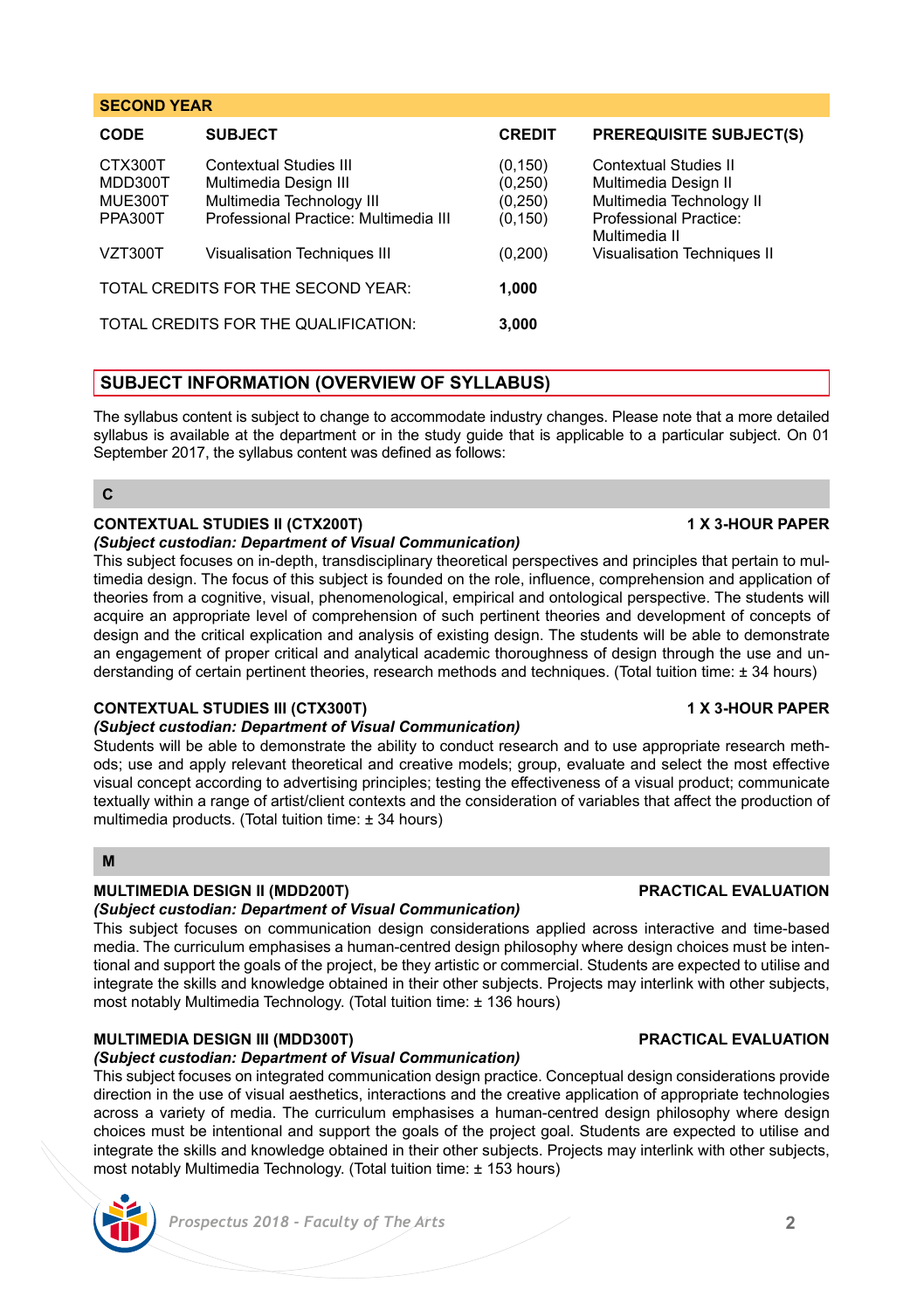### **SECOND YEAR**

| <b>CODE</b>                              | <b>SUBJECT</b>                                                                                                        | <b>CREDIT</b>                                | <b>PREREQUISITE SUBJECT(S)</b>                                                                      |
|------------------------------------------|-----------------------------------------------------------------------------------------------------------------------|----------------------------------------------|-----------------------------------------------------------------------------------------------------|
| CTX300T<br>MDD300T<br>MUE300T<br>PPA300T | Contextual Studies III<br>Multimedia Design III<br>Multimedia Technology III<br>Professional Practice: Multimedia III | (0, 150)<br>(0, 250)<br>(0, 250)<br>(0, 150) | Contextual Studies II<br>Multimedia Design II<br>Multimedia Technology II<br>Professional Practice: |
| VZT300T                                  | <b>Visualisation Techniques III</b>                                                                                   | (0, 200)                                     | Multimedia II<br>Visualisation Techniques II                                                        |
| TOTAL CREDITS FOR THE SECOND YEAR:       |                                                                                                                       | 1.000                                        |                                                                                                     |
| TOTAL CREDITS FOR THE QUALIFICATION:     |                                                                                                                       | 3,000                                        |                                                                                                     |

# **SUBJECT INFORMATION (OVERVIEW OF SYLLABUS)**

The syllabus content is subject to change to accommodate industry changes. Please note that a more detailed syllabus is available at the department or in the study guide that is applicable to a particular subject. On 01 September 2017, the syllabus content was defined as follows:

### **C**

# **CONTEXTUAL STUDIES II (CTX200T) 1 X 3-HOUR PAPER**

## *(Subject custodian: Department of Visual Communication)*

This subject focuses on in-depth, transdisciplinary theoretical perspectives and principles that pertain to multimedia design. The focus of this subject is founded on the role, influence, comprehension and application of theories from a cognitive, visual, phenomenological, empirical and ontological perspective. The students will acquire an appropriate level of comprehension of such pertinent theories and development of concepts of design and the critical explication and analysis of existing design. The students will be able to demonstrate an engagement of proper critical and analytical academic thoroughness of design through the use and understanding of certain pertinent theories, research methods and techniques. (Total tuition time: ± 34 hours)

# **CONTEXTUAL STUDIES III (CTX300T) 1 X 3-HOUR PAPER**

### *(Subject custodian: Department of Visual Communication)*

Students will be able to demonstrate the ability to conduct research and to use appropriate research methods; use and apply relevant theoretical and creative models; group, evaluate and select the most effective visual concept according to advertising principles; testing the effectiveness of a visual product; communicate textually within a range of artist/client contexts and the consideration of variables that affect the production of multimedia products. (Total tuition time: ± 34 hours)

### **M**

# **MULTIMEDIA DESIGN II (MDD200T) PRACTICAL EVALUATION**

### *(Subject custodian: Department of Visual Communication)*

This subject focuses on communication design considerations applied across interactive and time-based media. The curriculum emphasises a human-centred design philosophy where design choices must be intentional and support the goals of the project, be they artistic or commercial. Students are expected to utilise and integrate the skills and knowledge obtained in their other subjects. Projects may interlink with other subjects, most notably Multimedia Technology. (Total tuition time: ± 136 hours)

# **MULTIMEDIA DESIGN III (MDD300T) PRACTICAL EVALUATION**

### *(Subject custodian: Department of Visual Communication)*

This subject focuses on integrated communication design practice. Conceptual design considerations provide direction in the use of visual aesthetics, interactions and the creative application of appropriate technologies across a variety of media. The curriculum emphasises a human-centred design philosophy where design choices must be intentional and support the goals of the project goal. Students are expected to utilise and integrate the skills and knowledge obtained in their other subjects. Projects may interlink with other subjects, most notably Multimedia Technology. (Total tuition time: ± 153 hours)